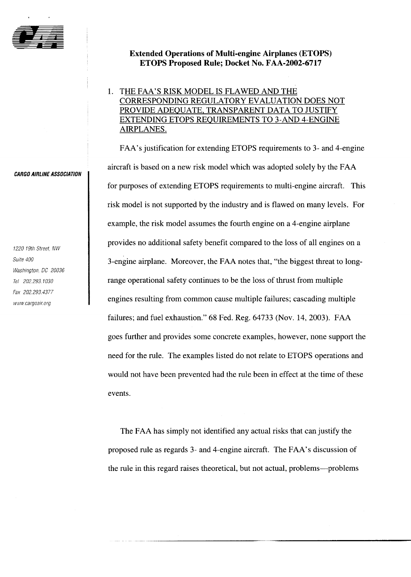

#### **Extended Operations of Multi-engine Airplanes (ETOPS) ETOPS Proposed Rule; Docket No. FAA-2002-6717**

### 1. THE FAA'S RISK MODEL IS FLAWED AND THE CORRESPONDING REGULATORY EVALUATION DOES NOT PROVIDE ADEQUATE. TRANSPARENT DATA TO JUSTIFY EXTENDING ETOPS REQUIREMENTS TO 3-AND 4-ENGINE AIRPLANES.

FAA's justification for extending ETOPS requirements to 3- and 4-engine aircraft is based on a new risk model which was adopted solely by the FAA for purposes of extending ETOPS requirements to multi-engine aircraft. This risk model is not supported by the industry and is flawed on many levels. For example, the risk model assumes the fourth engine on a 4-engine airplane provides no additional safety benefit compared to the loss of all engines on a 3-engine airplane. Moreover, the FAA notes that, "the biggest threat to longrange operational safety continues to be the loss of thrust from multiple engines resulting from common cause multiple failures; cascading multiple failures; and fuel exhaustion." 68 Fed. Reg. 64733 (Nov. 14, 2003). FAA goes further and provides some concrete examples, however, none support the need for the rule. The examples listed do not relate to ETOPS operations and would not have been prevented had the rule been in effect at the time of these events.

The FAA has simply not identified any actual risks that can justify the proposed rule as regards 3- and 4-engine aircraft. The FAA's discussion of the rule in this regard raises theoretical, but not actual, problems-problems

**CARGO AIRLINE ASSOCIATION** 

1220 19th Street. NW Suite 400 Washington, DC 20036 Tel 202.293.1030 Fax 202.293.4377 www.cargoair.org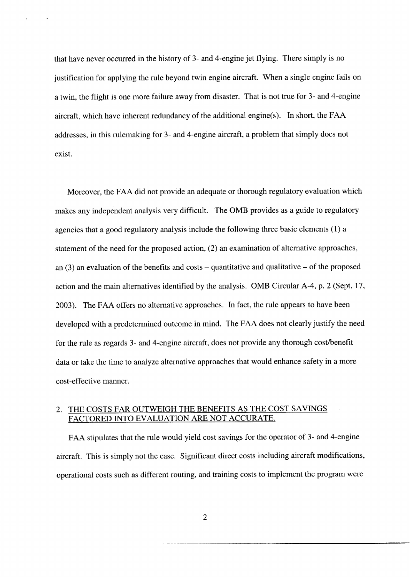that have never occurred in the history of 3- and 4-engine jet flying. There simply is no justification for applying the rule beyond twin engine aircraft. When a single engine fails on a twin, the flight is one more failure away from disaster. That is not true for 3- and 4-engine aircraft, which have inherent redundancy of the additional engine(s). In short, the FAA addresses, in this rulemaking for 3- and 4-engine aircraft, a problem that simply does not exist.

Moreover, the FAA did not provide an adequate or thorough regulatory evaluation which makes any independent analysis very difficult. The OMB provides as a guide to regulatory agencies that a good regulatory analysis include the following three basic elements (1) a statement of the need for the proposed action, (2) an examination of alternative approaches, an  $(3)$  an evaluation of the benefits and costs – quantitative and qualitative – of the proposed action and the main alternatives identified by the analysis. OMB Circular A-4, p. 2 (Sept. 17, 2003). The FAA offers no alternative approaches. In fact, the rule appears to have been developed with a predetermined outcome in mind. The FAA does not clearly justify the need for the rule as regards 3- and 4-engine aircraft, does not provide any thorough cost/benefit data or take the time to analyze alternative approaches that would enhance safety in a more cost-effective manner.

#### 2. THE COSTS FAR OUTWEIGH THE BENEFITS AS THE COST SAVINGS FACTORED INTO EVALUATION ARE NOT ACCURATE.

FAA stipulates that the rule would yield cost savings for the operator of 3- and 4-engine aircraft. This is simply not the case. Significant direct costs including aircraft modifications, operational costs such as different routing, and training costs to implement the program were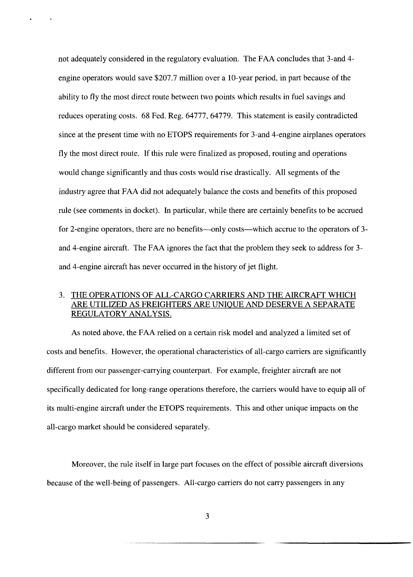not adequately considered in the regulatory evaluation. The FAA concludes that 3-and 4 engine operators would save \$207.7 million over a 10-year period, in part because of the ability to fly the most direct route between two points which results in fuel savings and reduces operating costs. 68 Fed. Reg. 64777, 64779. This statement is easily contradicted since at the present time with no ETOPS requirements for 3-and 4-engine airplanes operators fly the most direct route. If this rule were finalized as proposed, routing and operations would change significantly and thus costs would rise drastically. All segments of the industry agree that FAA did not adequately balance the costs and benefits of this proposed rule (see comments in docket). In particular, while there are certainly benefits to be accrued for 2-engine operators, there are no benefits—only costs—which accrue to the operators of 3and 4-engine aircraft. The FAA ignores the fact that the problem they seek to address for 3 and 4-engine aircraft has never occurred in the history of jet flight.

#### 3. THE OPERATIONS OF ALL-CARGO CARRIERS AND THE AIRCRAFT WHICH ARE UTILIZED AS FREIGHTERS ARE UNIQUE AND DESERVE A SEPARATE REGULATORY ANALYSIS.

As noted above, the FAA relied on a certain risk model and analyzed a limited set of costs and benefits. However, the operational characteristics of all-cargo carriers are significantly different from our passenger-carrying counterpart. For example, freighter aircraft are not specifically dedicated for long-range operations therefore, the carriers would have to equip all of its multi-engine aircraft under the ETOPS requirements. This and other unique impacts on the all-cargo market should be considered separately.

Moreover, the rule itself in large part focuses on the effect of possible aircraft diversions because of the well-being of passengers. All-cargo carriers do not carry passengers in any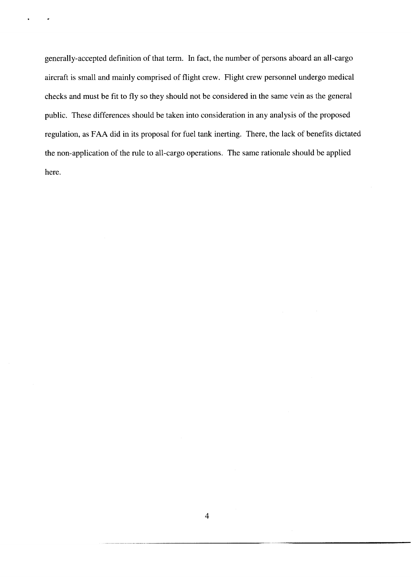generally-accepted definition of that term. In fact, the number of persons aboard an all-cargo aircraft is small and mainly comprised of flight crew. Flight crew personnel undergo medical checks and must be fit to fly so they should not be considered in the same vein as the general public. These differences should be taken into consideration in any analysis of the proposed regulation, as FAA did in its proposal for fuel tank inerting. There, the lack of benefits dictated the non-application of the rule to all-cargo operations. The same rationale should be applied here.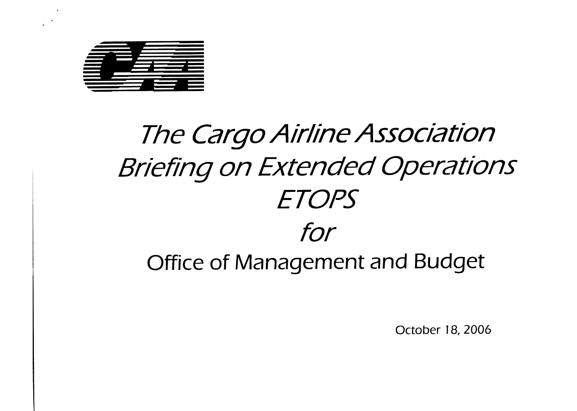

# **The Cargo Airline Association** Briefing on Extended Operations **ETOPS** tor

Office of Management and Budget

October 18.2006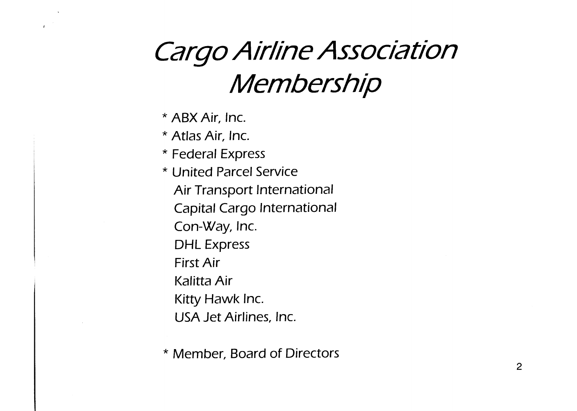## Cargo Airline Association Membership

\* ABX Air. Inc.

\* Atlas Air. Inc.

\* Federal Express

\* United Parcel Service Air Transport lnternational Capital Cargo lnternational Con-Way. Inc. DHL Express First Air Kalitta Air Kitty Hawk Inc. USA Jet Airlines, Inc.

\* Member. Board of Directors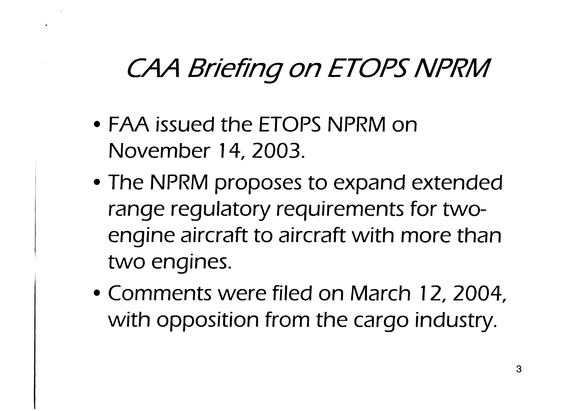### CAA Briefing on ETOPS NPRM

- FAA issued the ETOPS NPRM on November 14,2003.
- The NPRM proposes to expand extended range regulatory requirements for twoengine aircraft to aircraft with more than two engines.
- Comments were filed on March 12, 2004. with opposition from the cargo industry.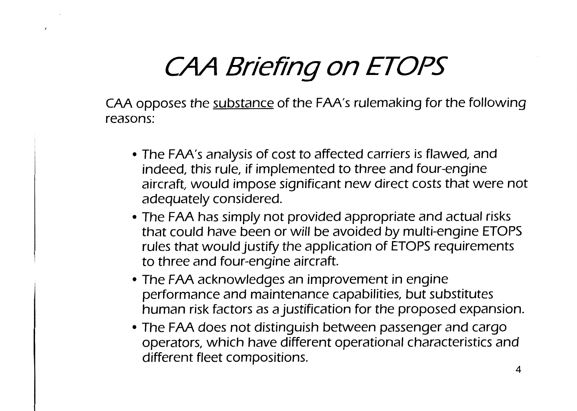## CAA Briefing on ETOPS

CAA opposes the substance of the FAA's rulemaking for the following reasons:

- The FAA's analysis of cost to affected carriers is flawed, and indeed, this rule, if implemented to three and four-engine aircraft, would impose significant new direct costs that were not adequately considered.
- The FAA has simply not provided appropriate and actual risks that could have been or will be avoided by multi-engine ETOPS rules that would justify the application of ETOPS requirements to three and four-engine aircraft.
- The FAA acknowledges an improvement in engine performance and maintenance capabilities, but substitutes human risk factors as a justification for the proposed expansion.
- The FAA does not distinguish between passenger and cargo operators, which have different operational characteristics and different fleet compositions.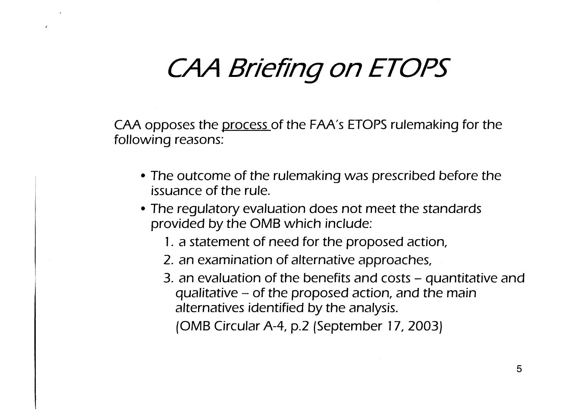### CAA Briefing on ETOPS

CAA opposes the process of the FAA's ETOPS rulemaking for the following reasons:

- The outcome of the rulemaking was prescribed before the issuance of the rule.
- The regulatory evaluation does not meet the standards provided by the OMB which include:
	- 1. a statement of need for the proposed action,
	- 2. an examination of alternative approaches,
	- 3. an evaluation of the benefits and costs quantitative and qualitative  $-$  of the proposed action, and the main alternatives identified by the analysis.

(OMB Circular A-4, p.2 [September 17, 2003)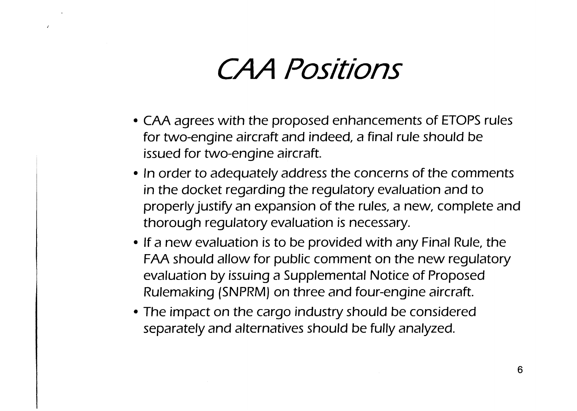## CAA Positions

- CAA agrees with the proposed enhancements of ETOPS rules for two-engine aircraft and indeed, a final rule should be issued for two-engine aircraft.
- In order to adequately address the concerns of the comments in the docket regarding the regulatory evaluation and to properly justify an expansion of the rules, a new, complete and thorough regulatory evaluation is necessary.
- If a new evaluation is to be provided with any Final Rule, the FAA should allow for public comment on the new regulatory evaluation by issuing a Supplemental Notice of Proposed Rulemaking (SNPRM) on three and four-engine aircraft.
- The impact on the cargo industry should be considered separately and alternatives should be fully analyzed.